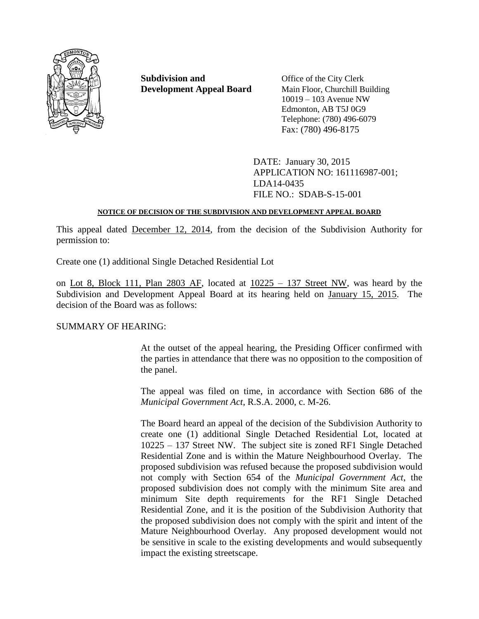

**Subdivision and** Office of the City Clerk **Development Appeal Board** Main Floor, Churchill Building

10019 – 103 Avenue NW Edmonton, AB T5J 0G9 Telephone: (780) 496-6079 Fax: (780) 496-8175

DATE: January 30, 2015 APPLICATION NO: 161116987-001; LDA14-0435 FILE NO.: SDAB-S-15-001

## **NOTICE OF DECISION OF THE SUBDIVISION AND DEVELOPMENT APPEAL BOARD**

This appeal dated December 12, 2014, from the decision of the Subdivision Authority for permission to:

Create one (1) additional Single Detached Residential Lot

on Lot 8, Block 111, Plan 2803 AF, located at  $10225 - 137$  Street NW, was heard by the Subdivision and Development Appeal Board at its hearing held on January 15, 2015. The decision of the Board was as follows:

# SUMMARY OF HEARING:

At the outset of the appeal hearing, the Presiding Officer confirmed with the parties in attendance that there was no opposition to the composition of the panel.

The appeal was filed on time, in accordance with Section 686 of the *Municipal Government Act*, R.S.A. 2000, c. M-26.

The Board heard an appeal of the decision of the Subdivision Authority to create one (1) additional Single Detached Residential Lot, located at 10225 – 137 Street NW. The subject site is zoned RF1 Single Detached Residential Zone and is within the Mature Neighbourhood Overlay. The proposed subdivision was refused because the proposed subdivision would not comply with Section 654 of the *Municipal Government Act*, the proposed subdivision does not comply with the minimum Site area and minimum Site depth requirements for the RF1 Single Detached Residential Zone, and it is the position of the Subdivision Authority that the proposed subdivision does not comply with the spirit and intent of the Mature Neighbourhood Overlay. Any proposed development would not be sensitive in scale to the existing developments and would subsequently impact the existing streetscape.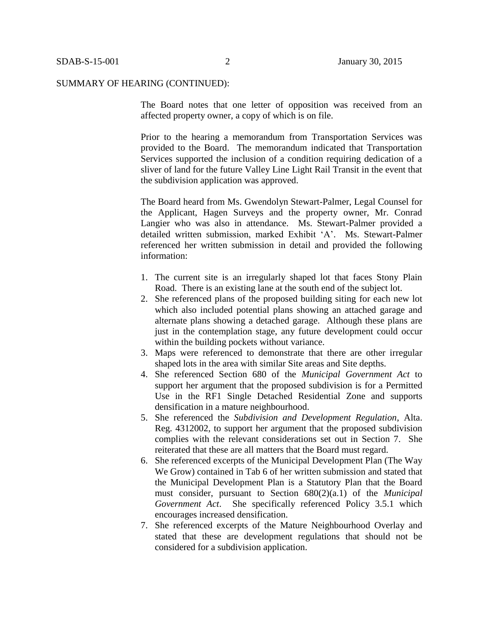#### SUMMARY OF HEARING (CONTINUED):

The Board notes that one letter of opposition was received from an affected property owner, a copy of which is on file.

Prior to the hearing a memorandum from Transportation Services was provided to the Board. The memorandum indicated that Transportation Services supported the inclusion of a condition requiring dedication of a sliver of land for the future Valley Line Light Rail Transit in the event that the subdivision application was approved.

The Board heard from Ms. Gwendolyn Stewart-Palmer, Legal Counsel for the Applicant, Hagen Surveys and the property owner, Mr. Conrad Langier who was also in attendance. Ms. Stewart-Palmer provided a detailed written submission, marked Exhibit 'A'. Ms. Stewart-Palmer referenced her written submission in detail and provided the following information:

- 1. The current site is an irregularly shaped lot that faces Stony Plain Road. There is an existing lane at the south end of the subject lot.
- 2. She referenced plans of the proposed building siting for each new lot which also included potential plans showing an attached garage and alternate plans showing a detached garage. Although these plans are just in the contemplation stage, any future development could occur within the building pockets without variance.
- 3. Maps were referenced to demonstrate that there are other irregular shaped lots in the area with similar Site areas and Site depths.
- 4. She referenced Section 680 of the *Municipal Government Act* to support her argument that the proposed subdivision is for a Permitted Use in the RF1 Single Detached Residential Zone and supports densification in a mature neighbourhood.
- 5. She referenced the *Subdivision and Development Regulation*, Alta. Reg. 4312002, to support her argument that the proposed subdivision complies with the relevant considerations set out in Section 7. She reiterated that these are all matters that the Board must regard.
- 6. She referenced excerpts of the Municipal Development Plan (The Way We Grow) contained in Tab 6 of her written submission and stated that the Municipal Development Plan is a Statutory Plan that the Board must consider, pursuant to Section 680(2)(a.1) of the *Municipal Government Act*. She specifically referenced Policy 3.5.1 which encourages increased densification.
- 7. She referenced excerpts of the Mature Neighbourhood Overlay and stated that these are development regulations that should not be considered for a subdivision application.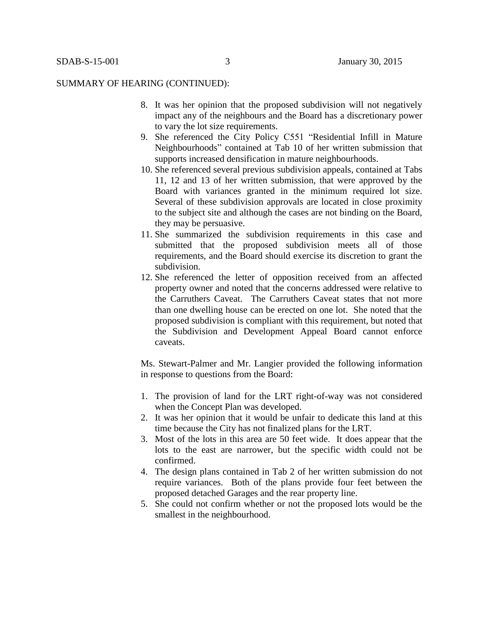#### SUMMARY OF HEARING (CONTINUED):

- 8. It was her opinion that the proposed subdivision will not negatively impact any of the neighbours and the Board has a discretionary power to vary the lot size requirements.
- 9. She referenced the City Policy C551 "Residential Infill in Mature Neighbourhoods" contained at Tab 10 of her written submission that supports increased densification in mature neighbourhoods.
- 10. She referenced several previous subdivision appeals, contained at Tabs 11, 12 and 13 of her written submission, that were approved by the Board with variances granted in the minimum required lot size. Several of these subdivision approvals are located in close proximity to the subject site and although the cases are not binding on the Board, they may be persuasive.
- 11. She summarized the subdivision requirements in this case and submitted that the proposed subdivision meets all of those requirements, and the Board should exercise its discretion to grant the subdivision.
- 12. She referenced the letter of opposition received from an affected property owner and noted that the concerns addressed were relative to the Carruthers Caveat. The Carruthers Caveat states that not more than one dwelling house can be erected on one lot. She noted that the proposed subdivision is compliant with this requirement, but noted that the Subdivision and Development Appeal Board cannot enforce caveats.

Ms. Stewart-Palmer and Mr. Langier provided the following information in response to questions from the Board:

- 1. The provision of land for the LRT right-of-way was not considered when the Concept Plan was developed.
- 2. It was her opinion that it would be unfair to dedicate this land at this time because the City has not finalized plans for the LRT.
- 3. Most of the lots in this area are 50 feet wide. It does appear that the lots to the east are narrower, but the specific width could not be confirmed.
- 4. The design plans contained in Tab 2 of her written submission do not require variances. Both of the plans provide four feet between the proposed detached Garages and the rear property line.
- 5. She could not confirm whether or not the proposed lots would be the smallest in the neighbourhood.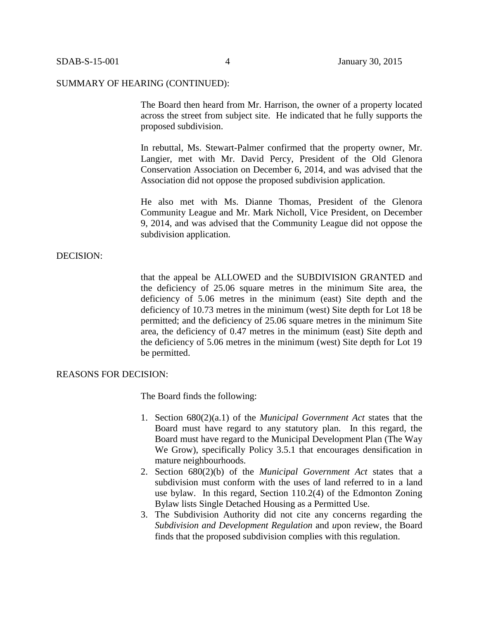#### SUMMARY OF HEARING (CONTINUED):

The Board then heard from Mr. Harrison, the owner of a property located across the street from subject site. He indicated that he fully supports the proposed subdivision.

In rebuttal, Ms. Stewart-Palmer confirmed that the property owner, Mr. Langier, met with Mr. David Percy, President of the Old Glenora Conservation Association on December 6, 2014, and was advised that the Association did not oppose the proposed subdivision application.

He also met with Ms. Dianne Thomas, President of the Glenora Community League and Mr. Mark Nicholl, Vice President, on December 9, 2014, and was advised that the Community League did not oppose the subdivision application.

#### DECISION:

that the appeal be ALLOWED and the SUBDIVISION GRANTED and the deficiency of 25.06 square metres in the minimum Site area, the deficiency of 5.06 metres in the minimum (east) Site depth and the deficiency of 10.73 metres in the minimum (west) Site depth for Lot 18 be permitted; and the deficiency of 25.06 square metres in the minimum Site area, the deficiency of 0.47 metres in the minimum (east) Site depth and the deficiency of 5.06 metres in the minimum (west) Site depth for Lot 19 be permitted.

### REASONS FOR DECISION:

The Board finds the following:

- 1. Section 680(2)(a.1) of the *Municipal Government Act* states that the Board must have regard to any statutory plan. In this regard, the Board must have regard to the Municipal Development Plan (The Way We Grow), specifically Policy 3.5.1 that encourages densification in mature neighbourhoods.
- 2. Section 680(2)(b) of the *Municipal Government Act* states that a subdivision must conform with the uses of land referred to in a land use bylaw. In this regard, Section 110.2(4) of the Edmonton Zoning Bylaw lists Single Detached Housing as a Permitted Use.
- 3. The Subdivision Authority did not cite any concerns regarding the *Subdivision and Development Regulation* and *u*pon review, the Board finds that the proposed subdivision complies with this regulation.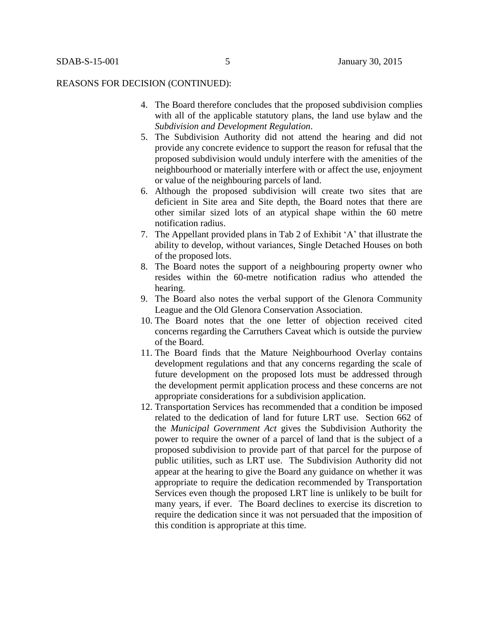#### REASONS FOR DECISION (CONTINUED):

- 4. The Board therefore concludes that the proposed subdivision complies with all of the applicable statutory plans, the land use bylaw and the *Subdivision and Development Regulation*.
- 5. The Subdivision Authority did not attend the hearing and did not provide any concrete evidence to support the reason for refusal that the proposed subdivision would unduly interfere with the amenities of the neighbourhood or materially interfere with or affect the use, enjoyment or value of the neighbouring parcels of land.
- 6. Although the proposed subdivision will create two sites that are deficient in Site area and Site depth, the Board notes that there are other similar sized lots of an atypical shape within the 60 metre notification radius.
- 7. The Appellant provided plans in Tab 2 of Exhibit 'A' that illustrate the ability to develop, without variances, Single Detached Houses on both of the proposed lots.
- 8. The Board notes the support of a neighbouring property owner who resides within the 60-metre notification radius who attended the hearing.
- 9. The Board also notes the verbal support of the Glenora Community League and the Old Glenora Conservation Association.
- 10. The Board notes that the one letter of objection received cited concerns regarding the Carruthers Caveat which is outside the purview of the Board.
- 11. The Board finds that the Mature Neighbourhood Overlay contains development regulations and that any concerns regarding the scale of future development on the proposed lots must be addressed through the development permit application process and these concerns are not appropriate considerations for a subdivision application.
- 12. Transportation Services has recommended that a condition be imposed related to the dedication of land for future LRT use. Section 662 of the *Municipal Government Act* gives the Subdivision Authority the power to require the owner of a parcel of land that is the subject of a proposed subdivision to provide part of that parcel for the purpose of public utilities, such as LRT use. The Subdivision Authority did not appear at the hearing to give the Board any guidance on whether it was appropriate to require the dedication recommended by Transportation Services even though the proposed LRT line is unlikely to be built for many years, if ever. The Board declines to exercise its discretion to require the dedication since it was not persuaded that the imposition of this condition is appropriate at this time.